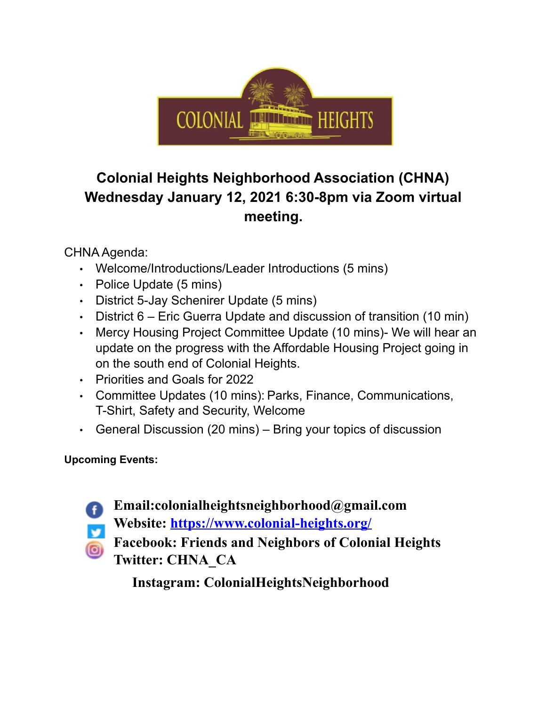

## **Colonial Heights Neighborhood Association (CHNA) Wednesday January 12, 2021 6:30-8pm via Zoom virtual meeting.**

CHNA Agenda:

- Welcome/Introductions/Leader Introductions (5 mins)
- Police Update (5 mins)
- District 5-Jay Schenirer Update (5 mins)
- District 6 Eric Guerra Update and discussion of transition (10 min)
- Mercy Housing Project Committee Update (10 mins)- We will hear an update on the progress with the Affordable Housing Project going in on the south end of Colonial Heights.
- Priorities and Goals for 2022
- Committee Updates (10 mins): Parks, Finance, Communications, T-Shirt, Safety and Security, Welcome
- General Discussion (20 mins) Bring your topics of discussion

**Upcoming Events:**



**Email:colonialheightsneighborhood@gmail.com Website: https://www.colonial-heights.org/ Facebook: Friends and Neighbors of Colonial Heights**

**Twitter: CHNA\_CA**

**Instagram: ColonialHeightsNeighborhood**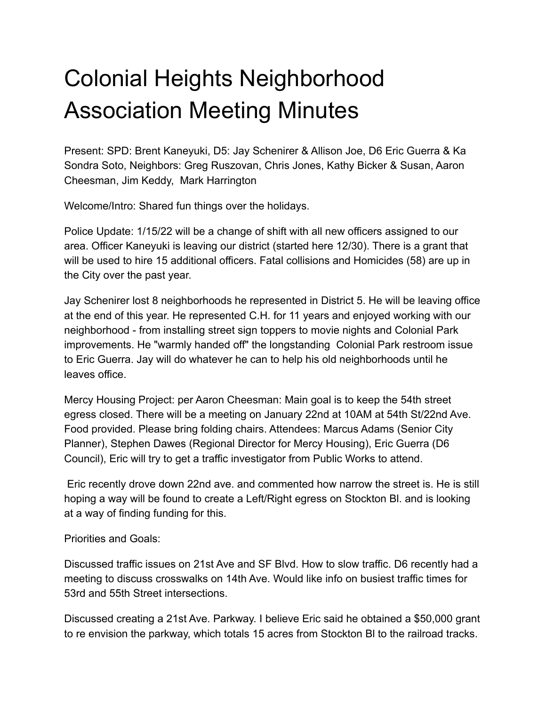## Colonial Heights Neighborhood Association Meeting Minutes

Present: SPD: Brent Kaneyuki, D5: Jay Schenirer & Allison Joe, D6 Eric Guerra & Ka Sondra Soto, Neighbors: Greg Ruszovan, Chris Jones, Kathy Bicker & Susan, Aaron Cheesman, Jim Keddy, Mark Harrington

Welcome/Intro: Shared fun things over the holidays.

Police Update: 1/15/22 will be a change of shift with all new officers assigned to our area. Officer Kaneyuki is leaving our district (started here 12/30). There is a grant that will be used to hire 15 additional officers. Fatal collisions and Homicides (58) are up in the City over the past year.

Jay Schenirer lost 8 neighborhoods he represented in District 5. He will be leaving office at the end of this year. He represented C.H. for 11 years and enjoyed working with our neighborhood - from installing street sign toppers to movie nights and Colonial Park improvements. He "warmly handed off" the longstanding Colonial Park restroom issue to Eric Guerra. Jay will do whatever he can to help his old neighborhoods until he leaves office.

Mercy Housing Project: per Aaron Cheesman: Main goal is to keep the 54th street egress closed. There will be a meeting on January 22nd at 10AM at 54th St/22nd Ave. Food provided. Please bring folding chairs. Attendees: Marcus Adams (Senior City Planner), Stephen Dawes (Regional Director for Mercy Housing), Eric Guerra (D6 Council), Eric will try to get a traffic investigator from Public Works to attend.

Eric recently drove down 22nd ave. and commented how narrow the street is. He is still hoping a way will be found to create a Left/Right egress on Stockton Bl. and is looking at a way of finding funding for this.

Priorities and Goals:

Discussed traffic issues on 21st Ave and SF Blvd. How to slow traffic. D6 recently had a meeting to discuss crosswalks on 14th Ave. Would like info on busiest traffic times for 53rd and 55th Street intersections.

Discussed creating a 21st Ave. Parkway. I believe Eric said he obtained a \$50,000 grant to re envision the parkway, which totals 15 acres from Stockton Bl to the railroad tracks.